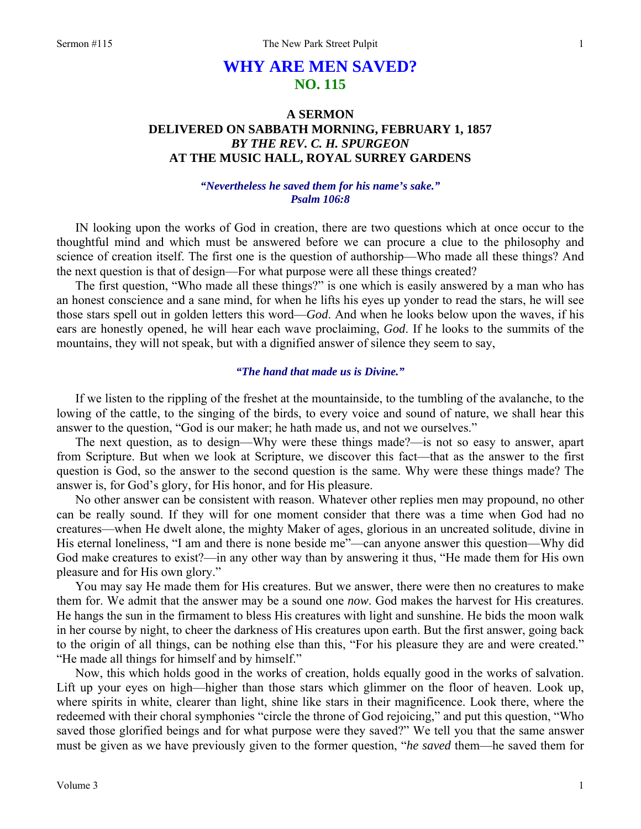# **WHY ARE MEN SAVED? NO. 115**

## **A SERMON DELIVERED ON SABBATH MORNING, FEBRUARY 1, 1857**  *BY THE REV. C. H. SPURGEON*  **AT THE MUSIC HALL, ROYAL SURREY GARDENS**

### *"Nevertheless he saved them for his name's sake." Psalm 106:8*

IN looking upon the works of God in creation, there are two questions which at once occur to the thoughtful mind and which must be answered before we can procure a clue to the philosophy and science of creation itself. The first one is the question of authorship—Who made all these things? And the next question is that of design—For what purpose were all these things created?

The first question, "Who made all these things?" is one which is easily answered by a man who has an honest conscience and a sane mind, for when he lifts his eyes up yonder to read the stars, he will see those stars spell out in golden letters this word—*God*. And when he looks below upon the waves, if his ears are honestly opened, he will hear each wave proclaiming, *God*. If he looks to the summits of the mountains, they will not speak, but with a dignified answer of silence they seem to say,

#### *"The hand that made us is Divine."*

If we listen to the rippling of the freshet at the mountainside, to the tumbling of the avalanche, to the lowing of the cattle, to the singing of the birds, to every voice and sound of nature, we shall hear this answer to the question, "God is our maker; he hath made us, and not we ourselves."

The next question, as to design—Why were these things made?—is not so easy to answer, apart from Scripture. But when we look at Scripture, we discover this fact—that as the answer to the first question is God, so the answer to the second question is the same. Why were these things made? The answer is, for God's glory, for His honor, and for His pleasure.

No other answer can be consistent with reason. Whatever other replies men may propound, no other can be really sound. If they will for one moment consider that there was a time when God had no creatures—when He dwelt alone, the mighty Maker of ages, glorious in an uncreated solitude, divine in His eternal loneliness, "I am and there is none beside me"—can anyone answer this question—Why did God make creatures to exist?—in any other way than by answering it thus, "He made them for His own pleasure and for His own glory."

You may say He made them for His creatures. But we answer, there were then no creatures to make them for. We admit that the answer may be a sound one *now*. God makes the harvest for His creatures. He hangs the sun in the firmament to bless His creatures with light and sunshine. He bids the moon walk in her course by night, to cheer the darkness of His creatures upon earth. But the first answer, going back to the origin of all things, can be nothing else than this, "For his pleasure they are and were created." "He made all things for himself and by himself."

Now, this which holds good in the works of creation, holds equally good in the works of salvation. Lift up your eyes on high—higher than those stars which glimmer on the floor of heaven. Look up, where spirits in white, clearer than light, shine like stars in their magnificence. Look there, where the redeemed with their choral symphonies "circle the throne of God rejoicing," and put this question, "Who saved those glorified beings and for what purpose were they saved?" We tell you that the same answer must be given as we have previously given to the former question, "*he saved* them—he saved them for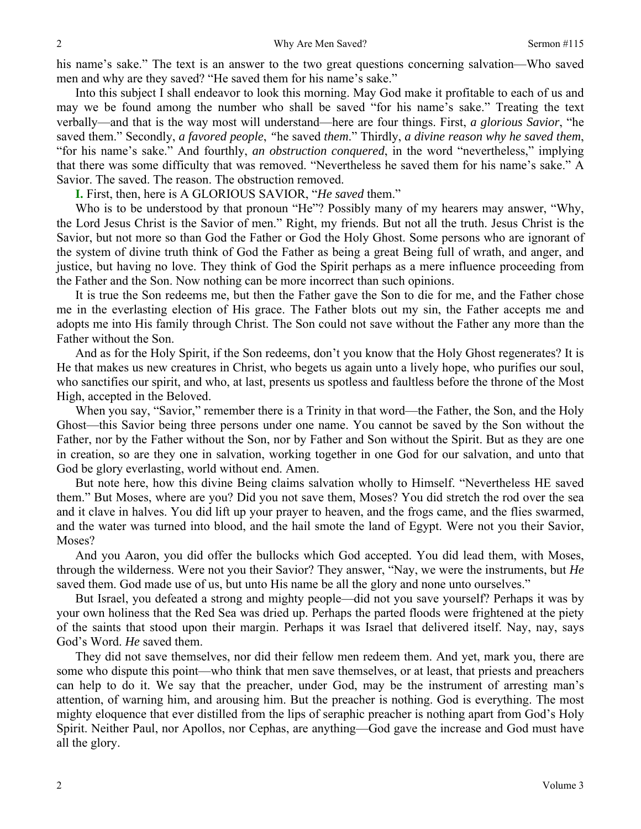his name's sake." The text is an answer to the two great questions concerning salvation—Who saved men and why are they saved? "He saved them for his name's sake."

Into this subject I shall endeavor to look this morning. May God make it profitable to each of us and may we be found among the number who shall be saved "for his name's sake." Treating the text verbally—and that is the way most will understand—here are four things. First, *a glorious Savior*, "he saved them." Secondly, *a favored people*, *"*he saved *them*." Thirdly, *a divine reason why he saved them*, "for his name's sake." And fourthly, *an obstruction conquered*, in the word "nevertheless," implying that there was some difficulty that was removed. "Nevertheless he saved them for his name's sake." A Savior. The saved. The reason. The obstruction removed.

**I.** First, then, here is A GLORIOUS SAVIOR, "*He saved* them."

Who is to be understood by that pronoun "He"? Possibly many of my hearers may answer, "Why, the Lord Jesus Christ is the Savior of men." Right, my friends. But not all the truth. Jesus Christ is the Savior, but not more so than God the Father or God the Holy Ghost. Some persons who are ignorant of the system of divine truth think of God the Father as being a great Being full of wrath, and anger, and justice, but having no love. They think of God the Spirit perhaps as a mere influence proceeding from the Father and the Son. Now nothing can be more incorrect than such opinions.

It is true the Son redeems me, but then the Father gave the Son to die for me, and the Father chose me in the everlasting election of His grace. The Father blots out my sin, the Father accepts me and adopts me into His family through Christ. The Son could not save without the Father any more than the Father without the Son.

And as for the Holy Spirit, if the Son redeems, don't you know that the Holy Ghost regenerates? It is He that makes us new creatures in Christ, who begets us again unto a lively hope, who purifies our soul, who sanctifies our spirit, and who, at last, presents us spotless and faultless before the throne of the Most High, accepted in the Beloved.

When you say, "Savior," remember there is a Trinity in that word—the Father, the Son, and the Holy Ghost—this Savior being three persons under one name. You cannot be saved by the Son without the Father, nor by the Father without the Son, nor by Father and Son without the Spirit. But as they are one in creation, so are they one in salvation, working together in one God for our salvation, and unto that God be glory everlasting, world without end. Amen.

But note here, how this divine Being claims salvation wholly to Himself. "Nevertheless HE saved them." But Moses, where are you? Did you not save them, Moses? You did stretch the rod over the sea and it clave in halves. You did lift up your prayer to heaven, and the frogs came, and the flies swarmed, and the water was turned into blood, and the hail smote the land of Egypt. Were not you their Savior, Moses?

And you Aaron, you did offer the bullocks which God accepted. You did lead them, with Moses, through the wilderness. Were not you their Savior? They answer, "Nay, we were the instruments, but *He* saved them. God made use of us, but unto His name be all the glory and none unto ourselves."

But Israel, you defeated a strong and mighty people—did not you save yourself? Perhaps it was by your own holiness that the Red Sea was dried up. Perhaps the parted floods were frightened at the piety of the saints that stood upon their margin. Perhaps it was Israel that delivered itself. Nay, nay, says God's Word. *He* saved them.

They did not save themselves, nor did their fellow men redeem them. And yet, mark you, there are some who dispute this point—who think that men save themselves, or at least, that priests and preachers can help to do it. We say that the preacher, under God, may be the instrument of arresting man's attention, of warning him, and arousing him. But the preacher is nothing. God is everything. The most mighty eloquence that ever distilled from the lips of seraphic preacher is nothing apart from God's Holy Spirit. Neither Paul, nor Apollos, nor Cephas, are anything—God gave the increase and God must have all the glory.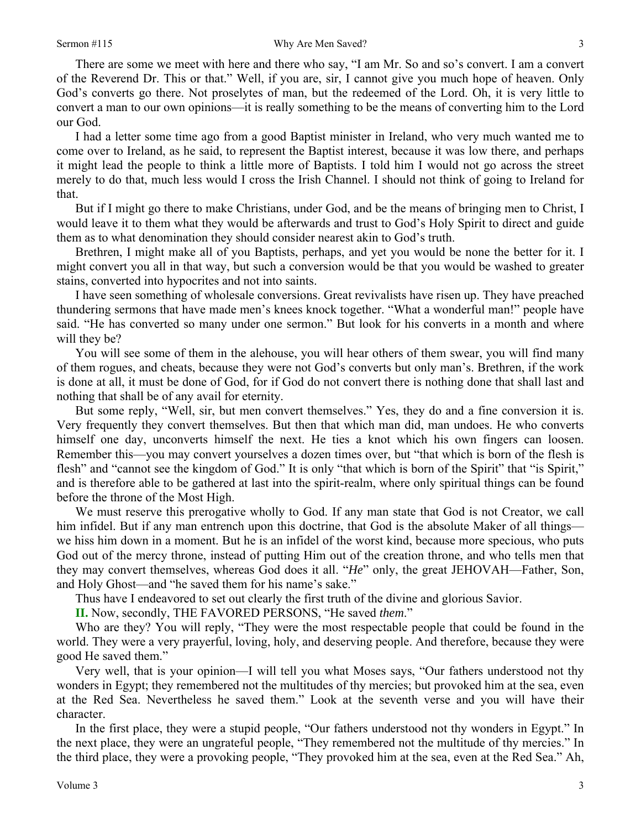There are some we meet with here and there who say, "I am Mr. So and so's convert. I am a convert of the Reverend Dr. This or that." Well, if you are, sir, I cannot give you much hope of heaven. Only God's converts go there. Not proselytes of man, but the redeemed of the Lord. Oh, it is very little to convert a man to our own opinions—it is really something to be the means of converting him to the Lord our God.

I had a letter some time ago from a good Baptist minister in Ireland, who very much wanted me to come over to Ireland, as he said, to represent the Baptist interest, because it was low there, and perhaps it might lead the people to think a little more of Baptists. I told him I would not go across the street merely to do that, much less would I cross the Irish Channel. I should not think of going to Ireland for that.

But if I might go there to make Christians, under God, and be the means of bringing men to Christ, I would leave it to them what they would be afterwards and trust to God's Holy Spirit to direct and guide them as to what denomination they should consider nearest akin to God's truth.

Brethren, I might make all of you Baptists, perhaps, and yet you would be none the better for it. I might convert you all in that way, but such a conversion would be that you would be washed to greater stains, converted into hypocrites and not into saints.

I have seen something of wholesale conversions. Great revivalists have risen up. They have preached thundering sermons that have made men's knees knock together. "What a wonderful man!" people have said. "He has converted so many under one sermon." But look for his converts in a month and where will they be?

You will see some of them in the alehouse, you will hear others of them swear, you will find many of them rogues, and cheats, because they were not God's converts but only man's. Brethren, if the work is done at all, it must be done of God, for if God do not convert there is nothing done that shall last and nothing that shall be of any avail for eternity.

But some reply, "Well, sir, but men convert themselves." Yes, they do and a fine conversion it is. Very frequently they convert themselves. But then that which man did, man undoes. He who converts himself one day, unconverts himself the next. He ties a knot which his own fingers can loosen. Remember this—you may convert yourselves a dozen times over, but "that which is born of the flesh is flesh" and "cannot see the kingdom of God." It is only "that which is born of the Spirit" that "is Spirit," and is therefore able to be gathered at last into the spirit-realm, where only spiritual things can be found before the throne of the Most High.

We must reserve this prerogative wholly to God. If any man state that God is not Creator, we call him infidel. But if any man entrench upon this doctrine, that God is the absolute Maker of all things we hiss him down in a moment. But he is an infidel of the worst kind, because more specious, who puts God out of the mercy throne, instead of putting Him out of the creation throne, and who tells men that they may convert themselves, whereas God does it all. "*He*" only, the great JEHOVAH—Father, Son, and Holy Ghost—and "he saved them for his name's sake."

Thus have I endeavored to set out clearly the first truth of the divine and glorious Savior.

**II.** Now, secondly, THE FAVORED PERSONS, "He saved *them*."

Who are they? You will reply, "They were the most respectable people that could be found in the world. They were a very prayerful, loving, holy, and deserving people. And therefore, because they were good He saved them."

Very well, that is your opinion—I will tell you what Moses says, "Our fathers understood not thy wonders in Egypt; they remembered not the multitudes of thy mercies; but provoked him at the sea, even at the Red Sea. Nevertheless he saved them." Look at the seventh verse and you will have their character.

In the first place, they were a stupid people, "Our fathers understood not thy wonders in Egypt." In the next place, they were an ungrateful people, "They remembered not the multitude of thy mercies." In the third place, they were a provoking people, "They provoked him at the sea, even at the Red Sea." Ah,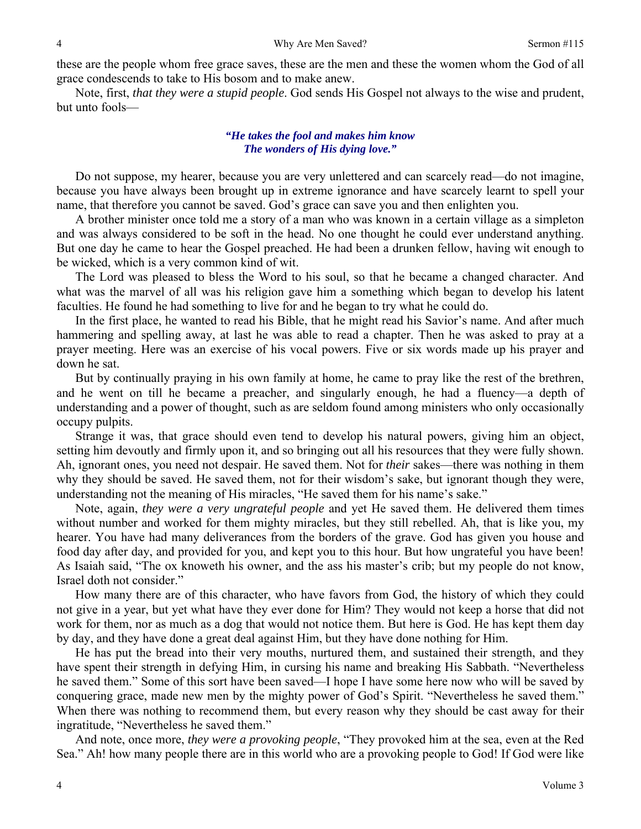these are the people whom free grace saves, these are the men and these the women whom the God of all grace condescends to take to His bosom and to make anew.

Note, first, *that they were a stupid people*. God sends His Gospel not always to the wise and prudent, but unto fools—

#### *"He takes the fool and makes him know The wonders of His dying love."*

Do not suppose, my hearer, because you are very unlettered and can scarcely read—do not imagine, because you have always been brought up in extreme ignorance and have scarcely learnt to spell your name, that therefore you cannot be saved. God's grace can save you and then enlighten you.

A brother minister once told me a story of a man who was known in a certain village as a simpleton and was always considered to be soft in the head. No one thought he could ever understand anything. But one day he came to hear the Gospel preached. He had been a drunken fellow, having wit enough to be wicked, which is a very common kind of wit.

The Lord was pleased to bless the Word to his soul, so that he became a changed character. And what was the marvel of all was his religion gave him a something which began to develop his latent faculties. He found he had something to live for and he began to try what he could do.

In the first place, he wanted to read his Bible, that he might read his Savior's name. And after much hammering and spelling away, at last he was able to read a chapter. Then he was asked to pray at a prayer meeting. Here was an exercise of his vocal powers. Five or six words made up his prayer and down he sat.

But by continually praying in his own family at home, he came to pray like the rest of the brethren, and he went on till he became a preacher, and singularly enough, he had a fluency—a depth of understanding and a power of thought, such as are seldom found among ministers who only occasionally occupy pulpits.

Strange it was, that grace should even tend to develop his natural powers, giving him an object, setting him devoutly and firmly upon it, and so bringing out all his resources that they were fully shown. Ah, ignorant ones, you need not despair. He saved them. Not for *their* sakes—there was nothing in them why they should be saved. He saved them, not for their wisdom's sake, but ignorant though they were, understanding not the meaning of His miracles, "He saved them for his name's sake."

Note, again, *they were a very ungrateful people* and yet He saved them. He delivered them times without number and worked for them mighty miracles, but they still rebelled. Ah, that is like you, my hearer. You have had many deliverances from the borders of the grave. God has given you house and food day after day, and provided for you, and kept you to this hour. But how ungrateful you have been! As Isaiah said, "The ox knoweth his owner, and the ass his master's crib; but my people do not know, Israel doth not consider."

How many there are of this character, who have favors from God, the history of which they could not give in a year, but yet what have they ever done for Him? They would not keep a horse that did not work for them, nor as much as a dog that would not notice them. But here is God. He has kept them day by day, and they have done a great deal against Him, but they have done nothing for Him.

He has put the bread into their very mouths, nurtured them, and sustained their strength, and they have spent their strength in defying Him, in cursing his name and breaking His Sabbath. "Nevertheless he saved them." Some of this sort have been saved—I hope I have some here now who will be saved by conquering grace, made new men by the mighty power of God's Spirit. "Nevertheless he saved them." When there was nothing to recommend them, but every reason why they should be cast away for their ingratitude, "Nevertheless he saved them."

And note, once more, *they were a provoking people*, "They provoked him at the sea, even at the Red Sea." Ah! how many people there are in this world who are a provoking people to God! If God were like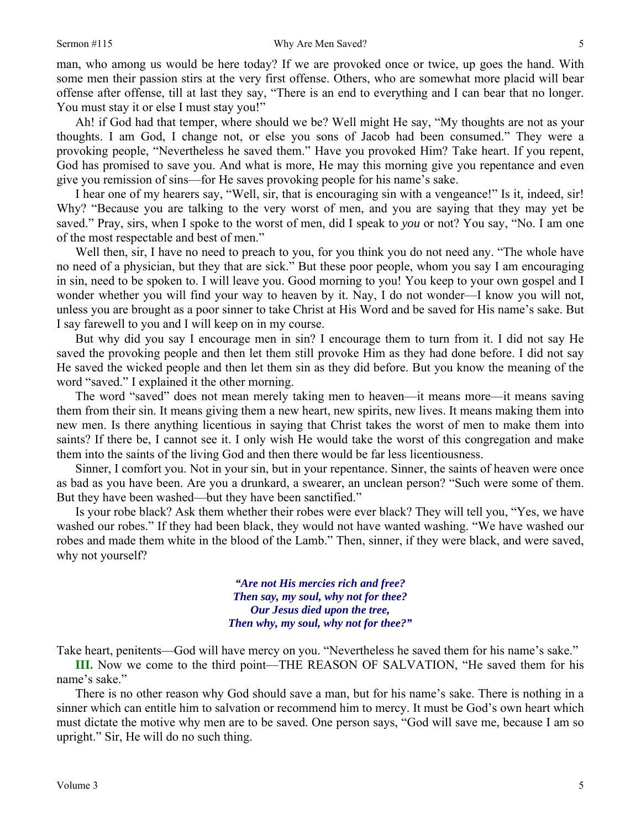man, who among us would be here today? If we are provoked once or twice, up goes the hand. With some men their passion stirs at the very first offense. Others, who are somewhat more placid will bear offense after offense, till at last they say, "There is an end to everything and I can bear that no longer. You must stay it or else I must stay you!"

Ah! if God had that temper, where should we be? Well might He say, "My thoughts are not as your thoughts. I am God, I change not, or else you sons of Jacob had been consumed." They were a provoking people, "Nevertheless he saved them." Have you provoked Him? Take heart. If you repent, God has promised to save you. And what is more, He may this morning give you repentance and even give you remission of sins—for He saves provoking people for his name's sake.

I hear one of my hearers say, "Well, sir, that is encouraging sin with a vengeance!" Is it, indeed, sir! Why? "Because you are talking to the very worst of men, and you are saying that they may yet be saved." Pray, sirs, when I spoke to the worst of men, did I speak to *you* or not? You say, "No. I am one of the most respectable and best of men."

Well then, sir, I have no need to preach to you, for you think you do not need any. "The whole have no need of a physician, but they that are sick." But these poor people, whom you say I am encouraging in sin, need to be spoken to. I will leave you. Good morning to you! You keep to your own gospel and I wonder whether you will find your way to heaven by it. Nay, I do not wonder—I know you will not, unless you are brought as a poor sinner to take Christ at His Word and be saved for His name's sake. But I say farewell to you and I will keep on in my course.

But why did you say I encourage men in sin? I encourage them to turn from it. I did not say He saved the provoking people and then let them still provoke Him as they had done before. I did not say He saved the wicked people and then let them sin as they did before. But you know the meaning of the word "saved." I explained it the other morning.

The word "saved" does not mean merely taking men to heaven—it means more—it means saving them from their sin. It means giving them a new heart, new spirits, new lives. It means making them into new men. Is there anything licentious in saying that Christ takes the worst of men to make them into saints? If there be, I cannot see it. I only wish He would take the worst of this congregation and make them into the saints of the living God and then there would be far less licentiousness.

Sinner, I comfort you. Not in your sin, but in your repentance. Sinner, the saints of heaven were once as bad as you have been. Are you a drunkard, a swearer, an unclean person? "Such were some of them. But they have been washed—but they have been sanctified."

Is your robe black? Ask them whether their robes were ever black? They will tell you, "Yes, we have washed our robes." If they had been black, they would not have wanted washing. "We have washed our robes and made them white in the blood of the Lamb." Then, sinner, if they were black, and were saved, why not yourself?

> *"Are not His mercies rich and free? Then say, my soul, why not for thee? Our Jesus died upon the tree, Then why, my soul, why not for thee?"*

Take heart, penitents—God will have mercy on you. "Nevertheless he saved them for his name's sake."

**III.** Now we come to the third point—THE REASON OF SALVATION, "He saved them for his name's sake."

There is no other reason why God should save a man, but for his name's sake. There is nothing in a sinner which can entitle him to salvation or recommend him to mercy. It must be God's own heart which must dictate the motive why men are to be saved. One person says, "God will save me, because I am so upright." Sir, He will do no such thing.

5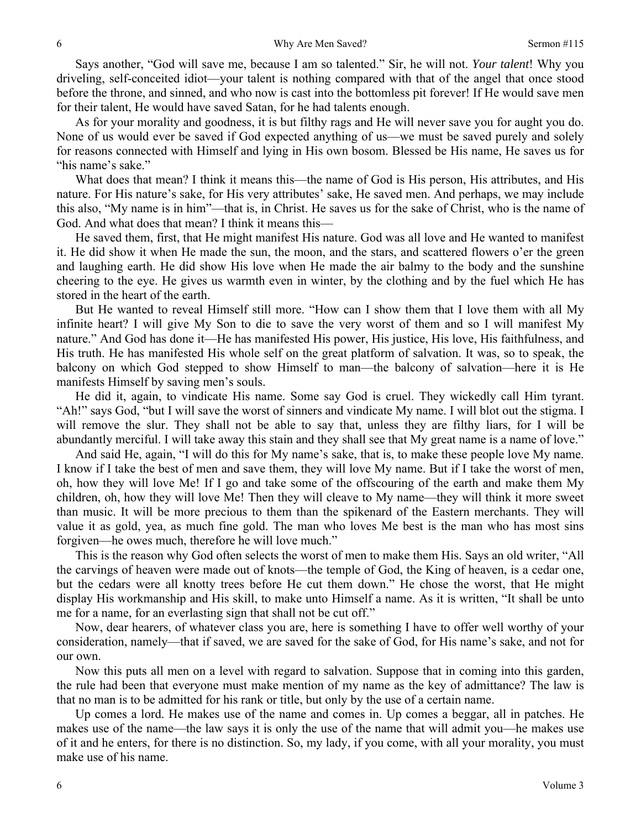Says another, "God will save me, because I am so talented." Sir, he will not. *Your talent*! Why you driveling, self-conceited idiot—your talent is nothing compared with that of the angel that once stood before the throne, and sinned, and who now is cast into the bottomless pit forever! If He would save men for their talent, He would have saved Satan, for he had talents enough.

As for your morality and goodness, it is but filthy rags and He will never save you for aught you do. None of us would ever be saved if God expected anything of us—we must be saved purely and solely for reasons connected with Himself and lying in His own bosom. Blessed be His name, He saves us for "his name's sake."

What does that mean? I think it means this—the name of God is His person, His attributes, and His nature. For His nature's sake, for His very attributes' sake, He saved men. And perhaps, we may include this also, "My name is in him"—that is, in Christ. He saves us for the sake of Christ, who is the name of God. And what does that mean? I think it means this—

He saved them, first, that He might manifest His nature. God was all love and He wanted to manifest it. He did show it when He made the sun, the moon, and the stars, and scattered flowers o'er the green and laughing earth. He did show His love when He made the air balmy to the body and the sunshine cheering to the eye. He gives us warmth even in winter, by the clothing and by the fuel which He has stored in the heart of the earth.

But He wanted to reveal Himself still more. "How can I show them that I love them with all My infinite heart? I will give My Son to die to save the very worst of them and so I will manifest My nature." And God has done it—He has manifested His power, His justice, His love, His faithfulness, and His truth. He has manifested His whole self on the great platform of salvation. It was, so to speak, the balcony on which God stepped to show Himself to man—the balcony of salvation—here it is He manifests Himself by saving men's souls.

He did it, again, to vindicate His name. Some say God is cruel. They wickedly call Him tyrant. "Ah!" says God, "but I will save the worst of sinners and vindicate My name. I will blot out the stigma. I will remove the slur. They shall not be able to say that, unless they are filthy liars, for I will be abundantly merciful. I will take away this stain and they shall see that My great name is a name of love."

And said He, again, "I will do this for My name's sake, that is, to make these people love My name. I know if I take the best of men and save them, they will love My name. But if I take the worst of men, oh, how they will love Me! If I go and take some of the offscouring of the earth and make them My children, oh, how they will love Me! Then they will cleave to My name—they will think it more sweet than music. It will be more precious to them than the spikenard of the Eastern merchants. They will value it as gold, yea, as much fine gold. The man who loves Me best is the man who has most sins forgiven—he owes much, therefore he will love much."

This is the reason why God often selects the worst of men to make them His. Says an old writer, "All the carvings of heaven were made out of knots—the temple of God, the King of heaven, is a cedar one, but the cedars were all knotty trees before He cut them down." He chose the worst, that He might display His workmanship and His skill, to make unto Himself a name. As it is written, "It shall be unto me for a name, for an everlasting sign that shall not be cut off."

Now, dear hearers, of whatever class you are, here is something I have to offer well worthy of your consideration, namely—that if saved, we are saved for the sake of God, for His name's sake, and not for our own.

Now this puts all men on a level with regard to salvation. Suppose that in coming into this garden, the rule had been that everyone must make mention of my name as the key of admittance? The law is that no man is to be admitted for his rank or title, but only by the use of a certain name.

Up comes a lord. He makes use of the name and comes in. Up comes a beggar, all in patches. He makes use of the name—the law says it is only the use of the name that will admit you—he makes use of it and he enters, for there is no distinction. So, my lady, if you come, with all your morality, you must make use of his name.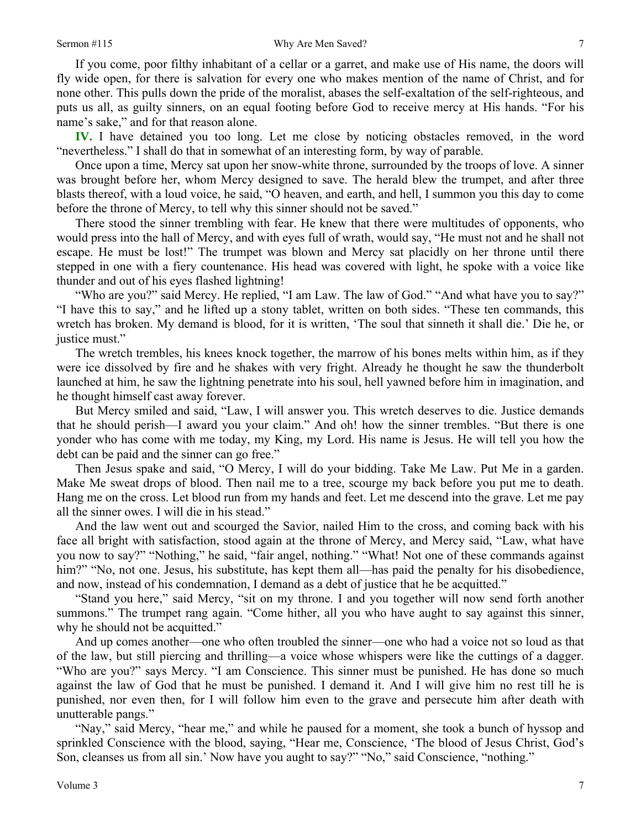#### Sermon #115 Why Are Men Saved?

If you come, poor filthy inhabitant of a cellar or a garret, and make use of His name, the doors will fly wide open, for there is salvation for every one who makes mention of the name of Christ, and for none other. This pulls down the pride of the moralist, abases the self-exaltation of the self-righteous, and puts us all, as guilty sinners, on an equal footing before God to receive mercy at His hands. "For his name's sake," and for that reason alone.

**IV.** I have detained you too long. Let me close by noticing obstacles removed, in the word "nevertheless." I shall do that in somewhat of an interesting form, by way of parable.

Once upon a time, Mercy sat upon her snow-white throne, surrounded by the troops of love. A sinner was brought before her, whom Mercy designed to save. The herald blew the trumpet, and after three blasts thereof, with a loud voice, he said, "O heaven, and earth, and hell, I summon you this day to come before the throne of Mercy, to tell why this sinner should not be saved."

There stood the sinner trembling with fear. He knew that there were multitudes of opponents, who would press into the hall of Mercy, and with eyes full of wrath, would say, "He must not and he shall not escape. He must be lost!" The trumpet was blown and Mercy sat placidly on her throne until there stepped in one with a fiery countenance. His head was covered with light, he spoke with a voice like thunder and out of his eyes flashed lightning!

"Who are you?" said Mercy. He replied, "I am Law. The law of God." "And what have you to say?" "I have this to say," and he lifted up a stony tablet, written on both sides. "These ten commands, this wretch has broken. My demand is blood, for it is written, 'The soul that sinneth it shall die.' Die he, or justice must."

The wretch trembles, his knees knock together, the marrow of his bones melts within him, as if they were ice dissolved by fire and he shakes with very fright. Already he thought he saw the thunderbolt launched at him, he saw the lightning penetrate into his soul, hell yawned before him in imagination, and he thought himself cast away forever.

But Mercy smiled and said, "Law, I will answer you. This wretch deserves to die. Justice demands that he should perish—I award you your claim." And oh! how the sinner trembles. "But there is one yonder who has come with me today, my King, my Lord. His name is Jesus. He will tell you how the debt can be paid and the sinner can go free."

Then Jesus spake and said, "O Mercy, I will do your bidding. Take Me Law. Put Me in a garden. Make Me sweat drops of blood. Then nail me to a tree, scourge my back before you put me to death. Hang me on the cross. Let blood run from my hands and feet. Let me descend into the grave. Let me pay all the sinner owes. I will die in his stead."

And the law went out and scourged the Savior, nailed Him to the cross, and coming back with his face all bright with satisfaction, stood again at the throne of Mercy, and Mercy said, "Law, what have you now to say?" "Nothing," he said, "fair angel, nothing." "What! Not one of these commands against him?" "No, not one. Jesus, his substitute, has kept them all—has paid the penalty for his disobedience, and now, instead of his condemnation, I demand as a debt of justice that he be acquitted."

"Stand you here," said Mercy, "sit on my throne. I and you together will now send forth another summons." The trumpet rang again. "Come hither, all you who have aught to say against this sinner, why he should not be acquitted."

And up comes another—one who often troubled the sinner—one who had a voice not so loud as that of the law, but still piercing and thrilling—a voice whose whispers were like the cuttings of a dagger. "Who are you?" says Mercy. "I am Conscience. This sinner must be punished. He has done so much against the law of God that he must be punished. I demand it. And I will give him no rest till he is punished, nor even then, for I will follow him even to the grave and persecute him after death with unutterable pangs."

"Nay," said Mercy, "hear me," and while he paused for a moment, she took a bunch of hyssop and sprinkled Conscience with the blood, saying, "Hear me, Conscience, 'The blood of Jesus Christ, God's Son, cleanses us from all sin.' Now have you aught to say?" "No," said Conscience, "nothing."

7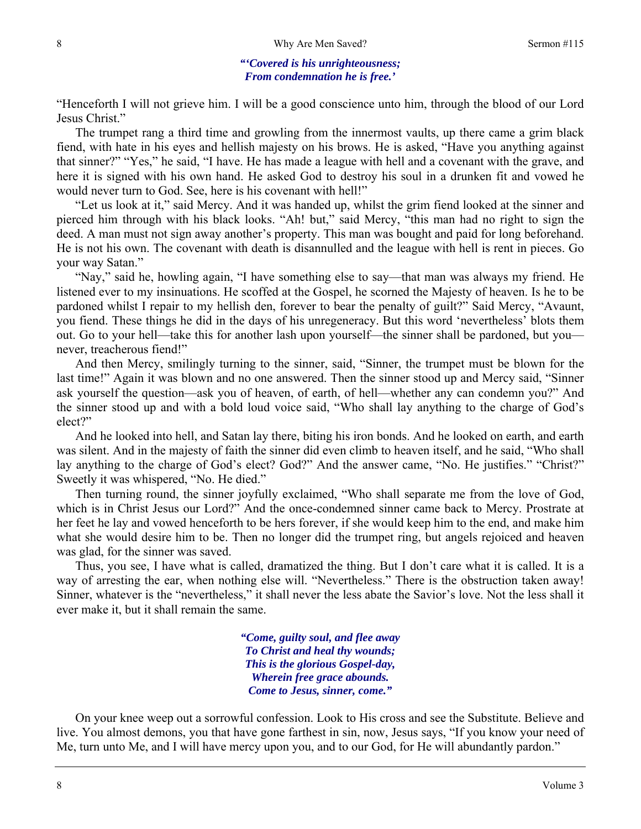#### *"'Covered is his unrighteousness; From condemnation he is free.'*

"Henceforth I will not grieve him. I will be a good conscience unto him, through the blood of our Lord Jesus Christ."

The trumpet rang a third time and growling from the innermost vaults, up there came a grim black fiend, with hate in his eyes and hellish majesty on his brows. He is asked, "Have you anything against that sinner?" "Yes," he said, "I have. He has made a league with hell and a covenant with the grave, and here it is signed with his own hand. He asked God to destroy his soul in a drunken fit and vowed he would never turn to God. See, here is his covenant with hell!"

"Let us look at it," said Mercy. And it was handed up, whilst the grim fiend looked at the sinner and pierced him through with his black looks. "Ah! but," said Mercy, "this man had no right to sign the deed. A man must not sign away another's property. This man was bought and paid for long beforehand. He is not his own. The covenant with death is disannulled and the league with hell is rent in pieces. Go your way Satan."

"Nay," said he, howling again, "I have something else to say—that man was always my friend. He listened ever to my insinuations. He scoffed at the Gospel, he scorned the Majesty of heaven. Is he to be pardoned whilst I repair to my hellish den, forever to bear the penalty of guilt?" Said Mercy, "Avaunt, you fiend. These things he did in the days of his unregeneracy. But this word 'nevertheless' blots them out. Go to your hell—take this for another lash upon yourself—the sinner shall be pardoned, but you never, treacherous fiend!"

And then Mercy, smilingly turning to the sinner, said, "Sinner, the trumpet must be blown for the last time!" Again it was blown and no one answered. Then the sinner stood up and Mercy said, "Sinner ask yourself the question—ask you of heaven, of earth, of hell—whether any can condemn you?" And the sinner stood up and with a bold loud voice said, "Who shall lay anything to the charge of God's elect?"

And he looked into hell, and Satan lay there, biting his iron bonds. And he looked on earth, and earth was silent. And in the majesty of faith the sinner did even climb to heaven itself, and he said, "Who shall lay anything to the charge of God's elect? God?" And the answer came, "No. He justifies." "Christ?" Sweetly it was whispered, "No. He died."

Then turning round, the sinner joyfully exclaimed, "Who shall separate me from the love of God, which is in Christ Jesus our Lord?" And the once-condemned sinner came back to Mercy. Prostrate at her feet he lay and vowed henceforth to be hers forever, if she would keep him to the end, and make him what she would desire him to be. Then no longer did the trumpet ring, but angels rejoiced and heaven was glad, for the sinner was saved.

Thus, you see, I have what is called, dramatized the thing. But I don't care what it is called. It is a way of arresting the ear, when nothing else will. "Nevertheless." There is the obstruction taken away! Sinner, whatever is the "nevertheless," it shall never the less abate the Savior's love. Not the less shall it ever make it, but it shall remain the same.

> *"Come, guilty soul, and flee away To Christ and heal thy wounds; This is the glorious Gospel-day, Wherein free grace abounds. Come to Jesus, sinner, come."*

On your knee weep out a sorrowful confession. Look to His cross and see the Substitute. Believe and live. You almost demons, you that have gone farthest in sin, now, Jesus says, "If you know your need of Me, turn unto Me, and I will have mercy upon you, and to our God, for He will abundantly pardon."